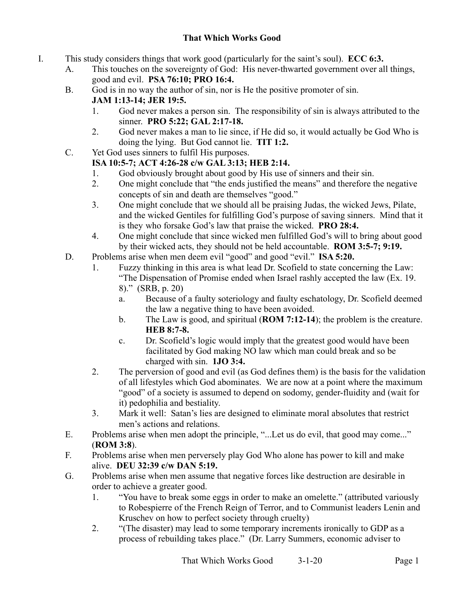## **That Which Works Good**

- I. This study considers things that work good (particularly for the saint's soul). **ECC 6:3.**
	- A. This touches on the sovereignty of God: His never-thwarted government over all things, good and evil. **PSA 76:10; PRO 16:4.**
	- B. God is in no way the author of sin, nor is He the positive promoter of sin. **JAM 1:13-14; JER 19:5.**
		- 1. God never makes a person sin. The responsibility of sin is always attributed to the sinner. **PRO 5:22; GAL 2:17-18.**
		- 2. God never makes a man to lie since, if He did so, it would actually be God Who is doing the lying. But God cannot lie. **TIT 1:2.**
	- C. Yet God uses sinners to fulfil His purposes.

## **ISA 10:5-7; ACT 4:26-28 c/w GAL 3:13; HEB 2:14.**

- 1. God obviously brought about good by His use of sinners and their sin.<br>2. One might conclude that "the ends iustified the means" and therefore t
- 2. One might conclude that "the ends justified the means" and therefore the negative concepts of sin and death are themselves "good."
- 3. One might conclude that we should all be praising Judas, the wicked Jews, Pilate, and the wicked Gentiles for fulfilling God's purpose of saving sinners. Mind that it is they who forsake God's law that praise the wicked. **PRO 28:4.**
- 4. One might conclude that since wicked men fulfilled God's will to bring about good by their wicked acts, they should not be held accountable. **ROM 3:5-7; 9:19.**
- D. Problems arise when men deem evil "good" and good "evil." **ISA 5:20.** 
	- 1. Fuzzy thinking in this area is what lead Dr. Scofield to state concerning the Law: "The Dispensation of Promise ended when Israel rashly accepted the law (Ex. 19. 8)." (SRB, p. 20)
		- a. Because of a faulty soteriology and faulty eschatology, Dr. Scofield deemed the law a negative thing to have been avoided.
		- b. The Law is good, and spiritual (**ROM 7:12-14**); the problem is the creature. **HEB 8:7-8.**
		- c. Dr. Scofield's logic would imply that the greatest good would have been facilitated by God making NO law which man could break and so be charged with sin. **1JO 3:4.**
	- 2. The perversion of good and evil (as God defines them) is the basis for the validation of all lifestyles which God abominates. We are now at a point where the maximum "good" of a society is assumed to depend on sodomy, gender-fluidity and (wait for it) pedophilia and bestiality.
	- 3. Mark it well: Satan's lies are designed to eliminate moral absolutes that restrict men's actions and relations.
- E. Problems arise when men adopt the principle, "...Let us do evil, that good may come..." (**ROM 3:8**).
- F. Problems arise when men perversely play God Who alone has power to kill and make alive. **DEU 32:39 c/w DAN 5:19.**
- G. Problems arise when men assume that negative forces like destruction are desirable in order to achieve a greater good.
	- 1. "You have to break some eggs in order to make an omelette." (attributed variously to Robespierre of the French Reign of Terror, and to Communist leaders Lenin and Kruschev on how to perfect society through cruelty)
	- 2. "(The disaster) may lead to some temporary increments ironically to GDP as a process of rebuilding takes place." (Dr. Larry Summers, economic adviser to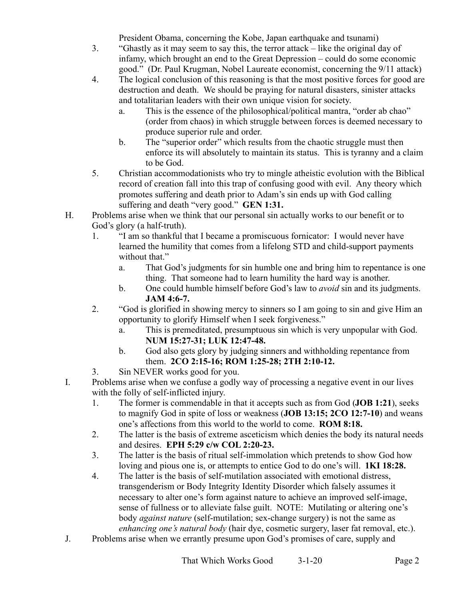President Obama, concerning the Kobe, Japan earthquake and tsunami)

- 3. "Ghastly as it may seem to say this, the terror attack like the original day of infamy, which brought an end to the Great Depression – could do some economic good." (Dr. Paul Krugman, Nobel Laureate economist, concerning the 9/11 attack)
- 4. The logical conclusion of this reasoning is that the most positive forces for good are destruction and death. We should be praying for natural disasters, sinister attacks and totalitarian leaders with their own unique vision for society.
	- a. This is the essence of the philosophical/political mantra, "order ab chao" (order from chaos) in which struggle between forces is deemed necessary to produce superior rule and order.
	- b. The "superior order" which results from the chaotic struggle must then enforce its will absolutely to maintain its status. This is tyranny and a claim to be God.
- 5. Christian accommodationists who try to mingle atheistic evolution with the Biblical record of creation fall into this trap of confusing good with evil. Any theory which promotes suffering and death prior to Adam's sin ends up with God calling suffering and death "very good." **GEN 1:31.**
- H. Problems arise when we think that our personal sin actually works to our benefit or to God's glory (a half-truth).
	- 1. "I am so thankful that I became a promiscuous fornicator: I would never have learned the humility that comes from a lifelong STD and child-support payments without that."
		- a. That God's judgments for sin humble one and bring him to repentance is one thing. That someone had to learn humility the hard way is another.
		- b. One could humble himself before God's law to *avoid* sin and its judgments. **JAM 4:6-7.**
	- 2. "God is glorified in showing mercy to sinners so I am going to sin and give Him an opportunity to glorify Himself when I seek forgiveness."
		- a. This is premeditated, presumptuous sin which is very unpopular with God. **NUM 15:27-31; LUK 12:47-48.**
		- b. God also gets glory by judging sinners and withholding repentance from them. **2CO 2:15-16; ROM 1:25-28; 2TH 2:10-12.**
	- 3. Sin NEVER works good for you.
- I. Problems arise when we confuse a godly way of processing a negative event in our lives with the folly of self-inflicted injury.
	- 1. The former is commendable in that it accepts such as from God (**JOB 1:21**), seeks to magnify God in spite of loss or weakness (**JOB 13:15; 2CO 12:7-10**) and weans one's affections from this world to the world to come. **ROM 8:18.**
	- 2. The latter is the basis of extreme asceticism which denies the body its natural needs and desires. **EPH 5:29 c/w COL 2:20-23.**
	- 3. The latter is the basis of ritual self-immolation which pretends to show God how loving and pious one is, or attempts to entice God to do one's will. **1KI 18:28.**
	- 4. The latter is the basis of self-mutilation associated with emotional distress, transgenderism or Body Integrity Identity Disorder which falsely assumes it necessary to alter one's form against nature to achieve an improved self-image, sense of fullness or to alleviate false guilt. NOTE: Mutilating or altering one's body *against nature* (self-mutilation; sex-change surgery) is not the same as *enhancing one's natural body* (hair dye, cosmetic surgery, laser fat removal, etc.).
- J. Problems arise when we errantly presume upon God's promises of care, supply and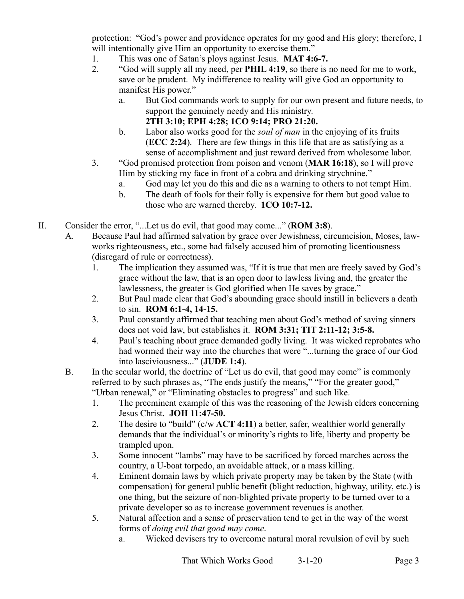protection: "God's power and providence operates for my good and His glory; therefore, I will intentionally give Him an opportunity to exercise them."

- 1. This was one of Satan's ploys against Jesus. **MAT 4:6-7.**
- 2. "God will supply all my need, per **PHIL 4:19**, so there is no need for me to work, save or be prudent. My indifference to reality will give God an opportunity to manifest His power."
	- a. But God commands work to supply for our own present and future needs, to support the genuinely needy and His ministry. **2TH 3:10; EPH 4:28; 1CO 9:14; PRO 21:20.**
	- b. Labor also works good for the *soul of man* in the enjoying of its fruits (**ECC 2:24**). There are few things in this life that are as satisfying as a sense of accomplishment and just reward derived from wholesome labor.
- 3. "God promised protection from poison and venom (**MAR 16:18**), so I will prove Him by sticking my face in front of a cobra and drinking strychnine."
	- a. God may let you do this and die as a warning to others to not tempt Him.
	- b. The death of fools for their folly is expensive for them but good value to those who are warned thereby. **1CO 10:7-12.**
- II. Consider the error, "...Let us do evil, that good may come..." (**ROM 3:8**).
	- A. Because Paul had affirmed salvation by grace over Jewishness, circumcision, Moses, lawworks righteousness, etc., some had falsely accused him of promoting licentiousness (disregard of rule or correctness).
		- 1. The implication they assumed was, "If it is true that men are freely saved by God's grace without the law, that is an open door to lawless living and, the greater the lawlessness, the greater is God glorified when He saves by grace."
		- 2. But Paul made clear that God's abounding grace should instill in believers a death to sin. **ROM 6:1-4, 14-15.**
		- 3. Paul constantly affirmed that teaching men about God's method of saving sinners does not void law, but establishes it. **ROM 3:31; TIT 2:11-12; 3:5-8.**
		- 4. Paul's teaching about grace demanded godly living. It was wicked reprobates who had wormed their way into the churches that were "...turning the grace of our God into lasciviousness..." (**JUDE 1:4**).
	- B. In the secular world, the doctrine of "Let us do evil, that good may come" is commonly referred to by such phrases as, "The ends justify the means," "For the greater good," "Urban renewal," or "Eliminating obstacles to progress" and such like.
		- 1. The preeminent example of this was the reasoning of the Jewish elders concerning Jesus Christ. **JOH 11:47-50.**
		- 2. The desire to "build" (c/w **ACT 4:11**) a better, safer, wealthier world generally demands that the individual's or minority's rights to life, liberty and property be trampled upon.
		- 3. Some innocent "lambs" may have to be sacrificed by forced marches across the country, a U-boat torpedo, an avoidable attack, or a mass killing.
		- 4. Eminent domain laws by which private property may be taken by the State (with compensation) for general public benefit (blight reduction, highway, utility, etc.) is one thing, but the seizure of non-blighted private property to be turned over to a private developer so as to increase government revenues is another.
		- 5. Natural affection and a sense of preservation tend to get in the way of the worst forms of *doing evil that good may come*.
			- a. Wicked devisers try to overcome natural moral revulsion of evil by such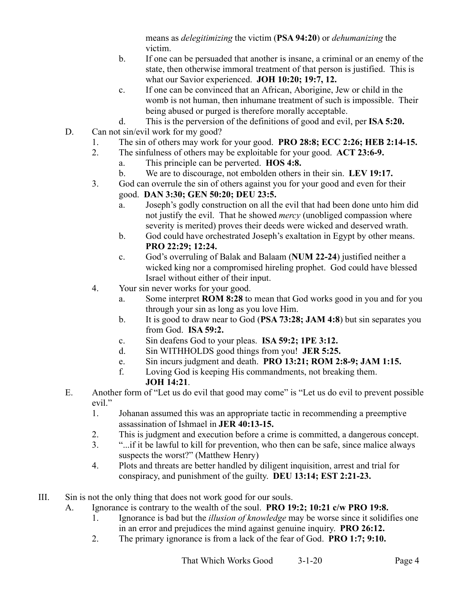means as *delegitimizing* the victim (**PSA 94:20**) or *dehumanizing* the victim.

- b. If one can be persuaded that another is insane, a criminal or an enemy of the state, then otherwise immoral treatment of that person is justified. This is what our Savior experienced. **JOH 10:20; 19:7, 12.**
- c. If one can be convinced that an African, Aborigine, Jew or child in the womb is not human, then inhumane treatment of such is impossible. Their being abused or purged is therefore morally acceptable.
- d. This is the perversion of the definitions of good and evil, per **ISA 5:20.**
- D. Can not sin/evil work for my good?
	- 1. The sin of others may work for your good. **PRO 28:8; ECC 2:26; HEB 2:14-15.**
	- 2. The sinfulness of others may be exploitable for your good. **ACT 23:6-9.**
		- a. This principle can be perverted. **HOS 4:8.**
		- b. We are to discourage, not embolden others in their sin. **LEV 19:17.**
	- 3. God can overrule the sin of others against you for your good and even for their good. **DAN 3:30; GEN 50:20; DEU 23:5.**
		- a. Joseph's godly construction on all the evil that had been done unto him did not justify the evil. That he showed *mercy* (unobliged compassion where severity is merited) proves their deeds were wicked and deserved wrath.
		- b. God could have orchestrated Joseph's exaltation in Egypt by other means. **PRO 22:29; 12:24.**
		- c. God's overruling of Balak and Balaam (**NUM 22-24**) justified neither a wicked king nor a compromised hireling prophet. God could have blessed Israel without either of their input.
	- 4. Your sin never works for your good.
		- a. Some interpret **ROM 8:28** to mean that God works good in you and for you through your sin as long as you love Him.
		- b. It is good to draw near to God (**PSA 73:28; JAM 4:8**) but sin separates you from God. **ISA 59:2.**
		- c. Sin deafens God to your pleas. **ISA 59:2; 1PE 3:12.**
		- d. Sin WITHHOLDS good things from you! **JER 5:25.**
		- e. Sin incurs judgment and death. **PRO 13:21; ROM 2:8-9; JAM 1:15.**
		- f. Loving God is keeping His commandments, not breaking them. **JOH 14:21**.
- E. Another form of "Let us do evil that good may come" is "Let us do evil to prevent possible evil."
	- 1. Johanan assumed this was an appropriate tactic in recommending a preemptive assassination of Ishmael in **JER 40:13-15.**
	- 2. This is judgment and execution before a crime is committed, a dangerous concept.
	- 3. "...if it be lawful to kill for prevention, who then can be safe, since malice always suspects the worst?" (Matthew Henry)
	- 4. Plots and threats are better handled by diligent inquisition, arrest and trial for conspiracy, and punishment of the guilty. **DEU 13:14; EST 2:21-23.**
- III. Sin is not the only thing that does not work good for our souls.
	- A. Ignorance is contrary to the wealth of the soul. **PRO 19:2; 10:21 c/w PRO 19:8.**
		- 1. Ignorance is bad but the *illusion of knowledge* may be worse since it solidifies one in an error and prejudices the mind against genuine inquiry. **PRO 26:12.**
		- 2. The primary ignorance is from a lack of the fear of God. **PRO 1:7; 9:10.**